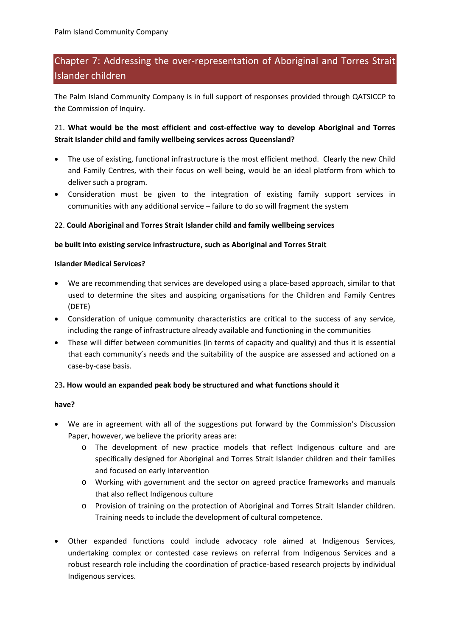# Chapter 7: Addressing the over‐representation of Aboriginal and Torres Strait Islander children

The Palm Island Community Company is in full support of responses provided through QATSICCP to the Commission of Inquiry.

# 21. **What would be the most efficient and cost‐effective way to develop Aboriginal and Torres Strait Islander child and family wellbeing services across Queensland?**

- The use of existing, functional infrastructure is the most efficient method. Clearly the new Child and Family Centres, with their focus on well being, would be an ideal platform from which to deliver such a program.
- Consideration must be given to the integration of existing family support services in communities with any additional service – failure to do so will fragment the system

## 22. **Could Aboriginal and Torres Strait Islander child and family wellbeing services**

## **be built into existing service infrastructure, such as Aboriginal and Torres Strait**

#### **Islander Medical Services?**

- We are recommending that services are developed using a place-based approach, similar to that used to determine the sites and auspicing organisations for the Children and Family Centres (DETE)
- Consideration of unique community characteristics are critical to the success of any service, including the range of infrastructure already available and functioning in the communities
- These will differ between communities (in terms of capacity and quality) and thus it is essential that each community's needs and the suitability of the auspice are assessed and actioned on a case‐by‐case basis.

## 23**. How would an expanded peak body be structured and what functions should it**

#### **have?**

- We are in agreement with all of the suggestions put forward by the Commission's Discussion Paper, however, we believe the priority areas are:
	- o The development of new practice models that reflect Indigenous culture and are specifically designed for Aboriginal and Torres Strait Islander children and their families and focused on early intervention
	- o Working with government and the sector on agreed practice frameworks and manuals that also reflect Indigenous culture
	- o Provision of training on the protection of Aboriginal and Torres Strait Islander children. Training needs to include the development of cultural competence.
- Other expanded functions could include advocacy role aimed at Indigenous Services, undertaking complex or contested case reviews on referral from Indigenous Services and a robust research role including the coordination of practice‐based research projects by individual Indigenous services.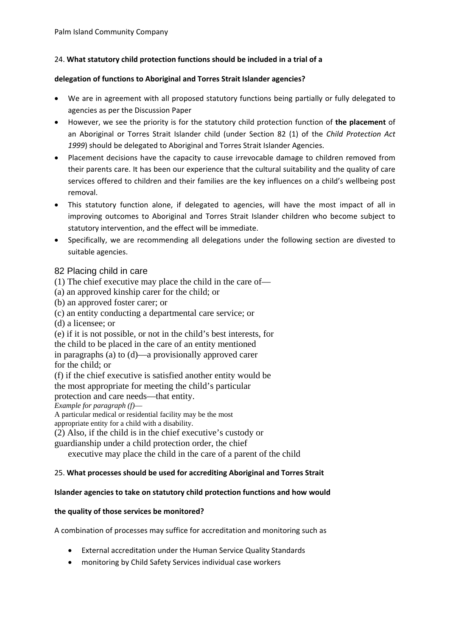## 24. **What statutory child protection functions should be included in a trial of a**

#### **delegation of functions to Aboriginal and Torres Strait Islander agencies?**

- We are in agreement with all proposed statutory functions being partially or fully delegated to agencies as per the Discussion Paper
- However, we see the priority is for the statutory child protection function of **the placement** of an Aboriginal or Torres Strait Islander child (under Section 82 (1) of the *Child Protection Act 1999*) should be delegated to Aboriginal and Torres Strait Islander Agencies.
- Placement decisions have the capacity to cause irrevocable damage to children removed from their parents care. It has been our experience that the cultural suitability and the quality of care services offered to children and their families are the key influences on a child's wellbeing post removal.
- This statutory function alone, if delegated to agencies, will have the most impact of all in improving outcomes to Aboriginal and Torres Strait Islander children who become subject to statutory intervention, and the effect will be immediate.
- Specifically, we are recommending all delegations under the following section are divested to suitable agencies.

## 82 Placing child in care

(1) The chief executive may place the child in the care of—

(a) an approved kinship carer for the child; or

(b) an approved foster carer; or

(c) an entity conducting a departmental care service; or

(d) a licensee; or

(e) if it is not possible, or not in the child's best interests, for

the child to be placed in the care of an entity mentioned in paragraphs (a) to (d)—a provisionally approved carer for the child; or

(f) if the chief executive is satisfied another entity would be the most appropriate for meeting the child's particular protection and care needs—that entity.

*Example for paragraph (f)*—

A particular medical or residential facility may be the most

appropriate entity for a child with a disability.

(2) Also, if the child is in the chief executive's custody or

guardianship under a child protection order, the chief

executive may place the child in the care of a parent of the child

## 25. **What processes should be used for accrediting Aboriginal and Torres Strait**

## **Islander agencies to take on statutory child protection functions and how would**

## **the quality of those services be monitored?**

A combination of processes may suffice for accreditation and monitoring such as

- External accreditation under the Human Service Quality Standards
- monitoring by Child Safety Services individual case workers